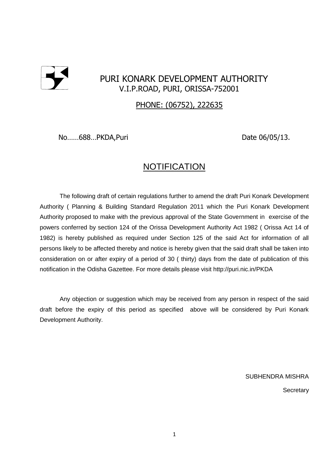

# PURI KONARK DEVELOPMENT AUTHORITY V.I.P.ROAD, PURI, ORISSA-752001

## PHONE: (06752), 222635

No......688...PKDA,Puri Date 06/05/13.

# **NOTIFICATION**

The following draft of certain regulations further to amend the draft Puri Konark Development Authority ( Planning & Building Standard Regulation 2011 which the Puri Konark Development Authority proposed to make with the previous approval of the State Government in exercise of the powers conferred by section 124 of the Orissa Development Authority Act 1982 ( Orissa Act 14 of 1982) is hereby published as required under Section 125 of the said Act for information of all persons likely to be affected thereby and notice is hereby given that the said draft shall be taken into consideration on or after expiry of a period of 30 ( thirty) days from the date of publication of this notification in the Odisha Gazettee. For more details please visit http://puri.nic.in/PKDA

Any objection or suggestion which may be received from any person in respect of the said draft before the expiry of this period as specified above will be considered by Puri Konark Development Authority.

SUBHENDRA MISHRA

**Secretary**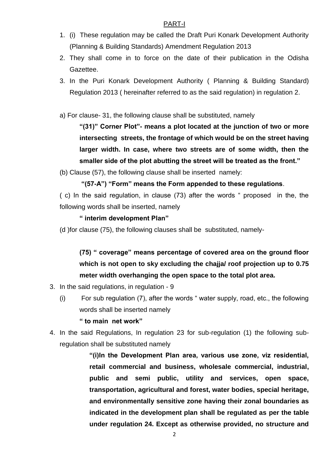#### PART-I

- 1. (i) These regulation may be called the Draft Puri Konark Development Authority (Planning & Building Standards) Amendment Regulation 2013
- 2. They shall come in to force on the date of their publication in the Odisha Gazettee.
- 3. In the Puri Konark Development Authority ( Planning & Building Standard) Regulation 2013 ( hereinafter referred to as the said regulation) in regulation 2.
- a) For clause- 31, the following clause shall be substituted, namely

**"(31)" Corner Plot"- means a plot located at the junction of two or more intersecting streets, the frontage of which would be on the street having larger width. In case, where two streets are of some width, then the smaller side of the plot abutting the street will be treated as the front."**

(b) Clause (57), the following clause shall be inserted namely:

## **"(57-A") "Form" means the Form appended to these regulations**.

( c) In the said regulation, in clause (73) after the words " proposed in the, the following words shall be inserted, namely

## **" interim development Plan"**

(d )for clause (75), the following clauses shall be substituted, namely-

# **(75) " coverage" means percentage of covered area on the ground floor which is not open to sky excluding the chajja/ roof projection up to 0.75 meter width overhanging the open space to the total plot area.**

- 3. In the said regulations, in regulation 9
	- (i) For sub regulation (7), after the words " water supply, road, etc., the following words shall be inserted namely

#### **" to main net work"**

4. In the said Regulations, In regulation 23 for sub-regulation (1) the following subregulation shall be substituted namely

> **"(i)In the Development Plan area, various use zone, viz residential, retail commercial and business, wholesale commercial, industrial, public and semi public, utility and services, open space, transportation, agricultural and forest, water bodies, special heritage, and environmentally sensitive zone having their zonal boundaries as indicated in the development plan shall be regulated as per the table under regulation 24. Except as otherwise provided, no structure and**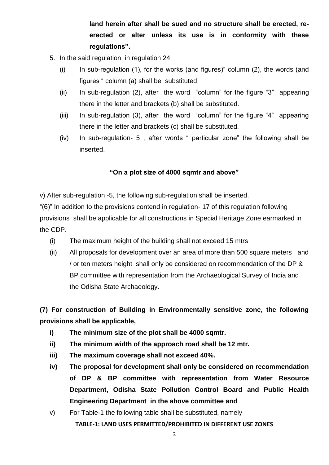**land herein after shall be sued and no structure shall be erected, reerected or alter unless its use is in conformity with these regulations".**

- 5. In the said regulation in regulation 24
	- $(i)$  In sub-regulation (1), for the works (and figures)" column (2), the words (and figures " column (a) shall be substituted.
	- (ii) In sub-regulation (2), after the word "column" for the figure "3" appearing there in the letter and brackets (b) shall be substituted.
	- (iii) In sub-regulation (3), after the word "column" for the figure "4" appearing there in the letter and brackets (c) shall be substituted.
	- (iv) In sub-regulation- 5 , after words " particular zone" the following shall be inserted.

## **"On a plot size of 4000 sqmtr and above"**

v) After sub-regulation -5, the following sub-regulation shall be inserted.

"(6)" In addition to the provisions contend in regulation- 17 of this regulation following provisions shall be applicable for all constructions in Special Heritage Zone earmarked in the CDP.

- (i) The maximum height of the building shall not exceed 15 mtrs
- (ii) All proposals for development over an area of more than 500 square meters and / or ten meters height shall only be considered on recommendation of the DP & BP committee with representation from the Archaeological Survey of India and the Odisha State Archaeology.

**(7) For construction of Building in Environmentally sensitive zone, the following provisions shall be applicable,**

- **i) The minimum size of the plot shall be 4000 sqmtr.**
- **ii) The minimum width of the approach road shall be 12 mtr.**
- **iii) The maximum coverage shall not exceed 40%.**
- **iv) The proposal for development shall only be considered on recommendation of DP & BP committee with representation from Water Resource Department, Odisha State Pollution Control Board and Public Health Engineering Department in the above committee and**
- v) For Table-1 the following table shall be substituted, namely

**TABLE-1: LAND USES PERMITTED/PROHIBITED IN DIFFERENT USE ZONES**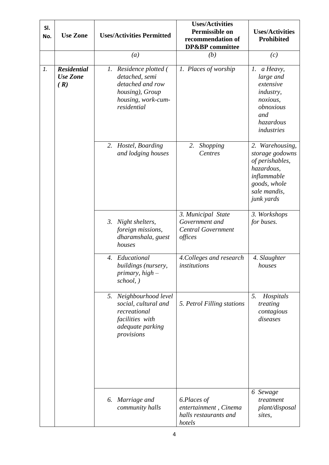| SI.<br>No. | <b>Use Zone</b>                              | <b>Uses/Activities Permitted</b>                                                                                           | <b>Uses/Activities</b><br>Permissible on<br>recommendation of<br>DP&BP committee | <b>Uses/Activities</b><br><b>Prohibited</b>                                                                                      |
|------------|----------------------------------------------|----------------------------------------------------------------------------------------------------------------------------|----------------------------------------------------------------------------------|----------------------------------------------------------------------------------------------------------------------------------|
|            |                                              | (a)                                                                                                                        | (b)                                                                              | (c)                                                                                                                              |
| 1.         | <b>Residential</b><br><b>Use Zone</b><br>(R) | 1. Residence plotted (<br>detached, semi<br>detached and row<br>housing), Group<br>housing, work-cum-<br>residential       | 1. Places of worship                                                             | 1. a Heavy,<br>large and<br>extensive<br><i>industry,</i><br>noxious,<br>obnoxious<br>and<br>hazardous<br>industries             |
|            |                                              | 2. Hostel, Boarding<br>and lodging houses                                                                                  | 2.<br>Shopping<br>Centres                                                        | 2. Warehousing,<br>storage godowns<br>of perishables,<br>hazardous,<br>inflammable<br>goods, whole<br>sale mandis,<br>junk yards |
|            |                                              | 3. Night shelters,<br>foreign missions,<br>dharamshala, guest<br>houses                                                    | 3. Municipal State<br>Government and<br><b>Central Government</b><br>offices     | 3. Workshops<br>for buses.                                                                                                       |
|            |                                              | Educational<br>4.<br>buildings (nursery,<br>primary, $high-$<br>school, )                                                  | 4. Colleges and research<br>institutions                                         | 4. Slaughter<br>houses                                                                                                           |
|            |                                              | 5. Neighbourhood level<br>social, cultural and<br>recreational<br><i>facilities with</i><br>adequate parking<br>provisions | 5. Petrol Filling stations                                                       | 5.<br>Hospitals<br>treating<br>contagious<br>diseases                                                                            |
|            |                                              | Marriage and<br>6.<br>community halls                                                                                      | 6.Places of<br>entertainment, Cinema<br>halls restaurants and<br>hotels          | 6 Sewage<br>treatment<br>plant/disposal<br>sites,                                                                                |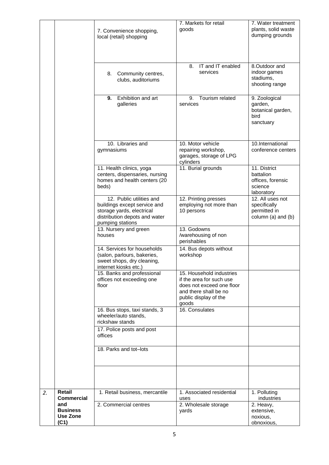| 10. Libraries and<br>10. Motor vehicle<br>10.International<br>repairing workshop,<br>conference centers<br>gymnasiums<br>garages, storage of LPG<br>cylinders<br>11. Health clinics, yoga<br>11. Burial grounds<br>11. District<br>centers, dispensaries, nursing<br>battalion<br>homes and health centers (20<br>offices, forensic<br>science<br>beds)<br>laboratory<br>12. Public utilities and<br>12. Printing presses<br>12. All uses not<br>employing not more than<br>buildings except service and<br>specifically<br>storage yards, electrical<br>10 persons<br>permitted in<br>distribution depots and water<br>column (a) and (b)<br>pumping stations<br>13. Godowns<br>13. Nursery and green<br>/warehousing of non<br>houses<br>perishables<br>14. Services for households<br>14. Bus depots without<br>(salon, parlours, bakeries,<br>workshop<br>sweet shops, dry cleaning,<br>internet kiosks etc.)<br>15. Household industries<br>15. Banks and professional<br>if the area for such use<br>offices not exceeding one<br>floor<br>does not exceed one floor<br>and there shall be no<br>public display of the<br>goods<br>16. Consulates<br>16. Bus stops, taxi stands, 3<br>wheeler/auto stands,<br>rickshaw stands<br>17. Police posts and post<br>offices<br>18. Parks and tot-lots<br>Retail<br>1. Associated residential<br>1. Retail business, mercantile<br>1. Polluting<br>2.<br><b>Commercial</b><br>industries<br>uses<br>and<br>2. Commercial centres<br>2. Wholesale storage<br>2. Heavy,<br><b>Business</b><br>extensive,<br>yards<br><b>Use Zone</b><br>noxious, |      | 7. Convenience shopping,<br>local (retail) shopping<br>8.<br>Community centres,<br>clubs, auditoriums<br>Exhibition and art<br>9.<br>galleries | 7. Markets for retail<br>goods<br>IT and IT enabled<br>8.<br>services<br>Tourism related<br>9.<br>services | 7. Water treatment<br>plants, solid waste<br>dumping grounds<br>8.Outdoor and<br>indoor games<br>stadiums,<br>shooting range<br>9. Zoological<br>garden,<br>botanical garden,<br>bird<br>sanctuary |
|-----------------------------------------------------------------------------------------------------------------------------------------------------------------------------------------------------------------------------------------------------------------------------------------------------------------------------------------------------------------------------------------------------------------------------------------------------------------------------------------------------------------------------------------------------------------------------------------------------------------------------------------------------------------------------------------------------------------------------------------------------------------------------------------------------------------------------------------------------------------------------------------------------------------------------------------------------------------------------------------------------------------------------------------------------------------------------------------------------------------------------------------------------------------------------------------------------------------------------------------------------------------------------------------------------------------------------------------------------------------------------------------------------------------------------------------------------------------------------------------------------------------------------------------------------------------------------------------------|------|------------------------------------------------------------------------------------------------------------------------------------------------|------------------------------------------------------------------------------------------------------------|----------------------------------------------------------------------------------------------------------------------------------------------------------------------------------------------------|
|                                                                                                                                                                                                                                                                                                                                                                                                                                                                                                                                                                                                                                                                                                                                                                                                                                                                                                                                                                                                                                                                                                                                                                                                                                                                                                                                                                                                                                                                                                                                                                                               |      |                                                                                                                                                |                                                                                                            |                                                                                                                                                                                                    |
|                                                                                                                                                                                                                                                                                                                                                                                                                                                                                                                                                                                                                                                                                                                                                                                                                                                                                                                                                                                                                                                                                                                                                                                                                                                                                                                                                                                                                                                                                                                                                                                               |      |                                                                                                                                                |                                                                                                            |                                                                                                                                                                                                    |
|                                                                                                                                                                                                                                                                                                                                                                                                                                                                                                                                                                                                                                                                                                                                                                                                                                                                                                                                                                                                                                                                                                                                                                                                                                                                                                                                                                                                                                                                                                                                                                                               |      |                                                                                                                                                |                                                                                                            |                                                                                                                                                                                                    |
|                                                                                                                                                                                                                                                                                                                                                                                                                                                                                                                                                                                                                                                                                                                                                                                                                                                                                                                                                                                                                                                                                                                                                                                                                                                                                                                                                                                                                                                                                                                                                                                               |      |                                                                                                                                                |                                                                                                            |                                                                                                                                                                                                    |
|                                                                                                                                                                                                                                                                                                                                                                                                                                                                                                                                                                                                                                                                                                                                                                                                                                                                                                                                                                                                                                                                                                                                                                                                                                                                                                                                                                                                                                                                                                                                                                                               |      |                                                                                                                                                |                                                                                                            |                                                                                                                                                                                                    |
|                                                                                                                                                                                                                                                                                                                                                                                                                                                                                                                                                                                                                                                                                                                                                                                                                                                                                                                                                                                                                                                                                                                                                                                                                                                                                                                                                                                                                                                                                                                                                                                               |      |                                                                                                                                                |                                                                                                            |                                                                                                                                                                                                    |
|                                                                                                                                                                                                                                                                                                                                                                                                                                                                                                                                                                                                                                                                                                                                                                                                                                                                                                                                                                                                                                                                                                                                                                                                                                                                                                                                                                                                                                                                                                                                                                                               |      |                                                                                                                                                |                                                                                                            |                                                                                                                                                                                                    |
|                                                                                                                                                                                                                                                                                                                                                                                                                                                                                                                                                                                                                                                                                                                                                                                                                                                                                                                                                                                                                                                                                                                                                                                                                                                                                                                                                                                                                                                                                                                                                                                               |      |                                                                                                                                                |                                                                                                            |                                                                                                                                                                                                    |
|                                                                                                                                                                                                                                                                                                                                                                                                                                                                                                                                                                                                                                                                                                                                                                                                                                                                                                                                                                                                                                                                                                                                                                                                                                                                                                                                                                                                                                                                                                                                                                                               |      |                                                                                                                                                |                                                                                                            |                                                                                                                                                                                                    |
|                                                                                                                                                                                                                                                                                                                                                                                                                                                                                                                                                                                                                                                                                                                                                                                                                                                                                                                                                                                                                                                                                                                                                                                                                                                                                                                                                                                                                                                                                                                                                                                               |      |                                                                                                                                                |                                                                                                            |                                                                                                                                                                                                    |
|                                                                                                                                                                                                                                                                                                                                                                                                                                                                                                                                                                                                                                                                                                                                                                                                                                                                                                                                                                                                                                                                                                                                                                                                                                                                                                                                                                                                                                                                                                                                                                                               |      |                                                                                                                                                |                                                                                                            |                                                                                                                                                                                                    |
|                                                                                                                                                                                                                                                                                                                                                                                                                                                                                                                                                                                                                                                                                                                                                                                                                                                                                                                                                                                                                                                                                                                                                                                                                                                                                                                                                                                                                                                                                                                                                                                               | (C1) |                                                                                                                                                |                                                                                                            | obnoxious,                                                                                                                                                                                         |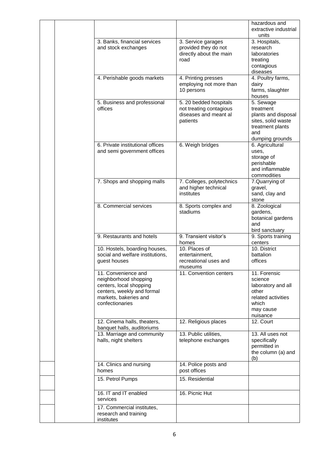|  |                                                                                                                                                   |                                                                                         | hazardous and<br>extractive industrial<br>units                                                                   |
|--|---------------------------------------------------------------------------------------------------------------------------------------------------|-----------------------------------------------------------------------------------------|-------------------------------------------------------------------------------------------------------------------|
|  | 3. Banks, financial services<br>and stock exchanges                                                                                               | 3. Service garages<br>provided they do not<br>directly about the main<br>road           | 3. Hospitals,<br>research<br>laboratories<br>treating<br>contagious<br>diseases                                   |
|  | 4. Perishable goods markets                                                                                                                       | 4. Printing presses<br>employing not more than<br>10 persons                            | 4. Poultry farms,<br>dairy<br>farms, slaughter<br>houses                                                          |
|  | 5. Business and professional<br>offices                                                                                                           | 5. 20 bedded hospitals<br>not treating contagious<br>diseases and meant all<br>patients | 5. Sewage<br>treatment<br>plants and disposal<br>sites, solid waste<br>treatment plants<br>and<br>dumping grounds |
|  | 6. Private institutional offices<br>and semi government offices                                                                                   | 6. Weigh bridges                                                                        | 6. Agricultural<br>uses,<br>storage of<br>perishable<br>and inflammable<br>commodities                            |
|  | 7. Shops and shopping malls                                                                                                                       | 7. Colleges, polytechnics<br>and higher technical<br>institutes                         | 7.Quarrying of<br>gravel,<br>sand, clay and<br>stone                                                              |
|  | 8. Commercial services                                                                                                                            | 8. Sports complex and<br>stadiums                                                       | 8. Zoological<br>gardens,<br>botanical gardens<br>and<br>bird sanctuary                                           |
|  | 9. Restaurants and hotels                                                                                                                         | 9. Transient visitor's<br>homes                                                         | 9. Sports training<br>centers                                                                                     |
|  | 10. Hostels, boarding houses,<br>social and welfare institutions,<br>guest houses                                                                 | 10. Places of<br>entertainment,<br>recreational uses and<br>museums                     | 10. District<br>battalion<br>offices                                                                              |
|  | 11. Convenience and<br>neighborhood shopping<br>centers, local shopping<br>centers, weekly and formal<br>markets, bakeries and<br>confectionaries | 11. Convention centers                                                                  | 11. Forensic<br>science<br>laboratory and all<br>other<br>related activities<br>which<br>may cause<br>nuisance    |
|  | 12. Cinema halls, theaters,<br>banquet halls, auditoriums                                                                                         | 12. Religious places                                                                    | 12. Court                                                                                                         |
|  | 13. Marriage and community<br>halls, night shelters                                                                                               | 13. Public utilities,<br>telephone exchanges                                            | 13. All uses not<br>specifically<br>permitted in<br>the column (a) and<br>(b)                                     |
|  | 14. Clinics and nursing<br>homes                                                                                                                  | 14. Police posts and<br>post offices                                                    |                                                                                                                   |
|  | 15. Petrol Pumps                                                                                                                                  | 15. Residential                                                                         |                                                                                                                   |
|  | 16. IT and IT enabled<br>services                                                                                                                 | 16. Picnic Hut                                                                          |                                                                                                                   |
|  | 17. Commercial institutes,<br>research and training<br>institutes                                                                                 |                                                                                         |                                                                                                                   |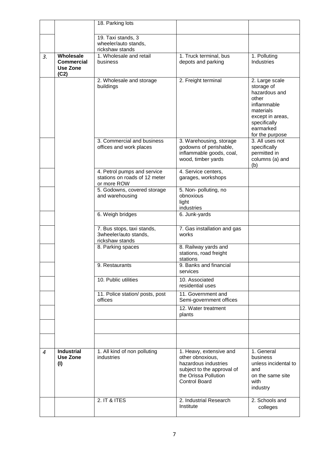|                  |                                                           | 18. Parking lots                                                            |                                                                                                                                                   |                                                                                                                                                        |
|------------------|-----------------------------------------------------------|-----------------------------------------------------------------------------|---------------------------------------------------------------------------------------------------------------------------------------------------|--------------------------------------------------------------------------------------------------------------------------------------------------------|
|                  |                                                           | 19. Taxi stands, 3<br>wheeler/auto stands,<br>rickshaw stands               |                                                                                                                                                   |                                                                                                                                                        |
| 3.               | Wholesale<br><b>Commercial</b><br><b>Use Zone</b><br>(C2) | 1. Wholesale and retail<br>business                                         | 1. Truck terminal, bus<br>depots and parking                                                                                                      | 1. Polluting<br><b>Industries</b>                                                                                                                      |
|                  |                                                           | 2. Wholesale and storage<br>buildings                                       | 2. Freight terminal                                                                                                                               | 2. Large scale<br>storage of<br>hazardous and<br>other<br>inflammable<br>materials<br>except in areas,<br>specifically<br>earmarked<br>for the purpose |
|                  |                                                           | 3. Commercial and business<br>offices and work places                       | 3. Warehousing, storage<br>godowns of perishable,<br>inflammable goods, coal,<br>wood, timber yards                                               | 3. All uses not<br>specifically<br>permitted in<br>columns (a) and<br>(b)                                                                              |
|                  |                                                           | 4. Petrol pumps and service<br>stations on roads of 12 meter<br>or more ROW | 4. Service centers,<br>garages, workshops                                                                                                         |                                                                                                                                                        |
|                  |                                                           | 5. Godowns, covered storage<br>and warehousing                              | 5. Non- polluting, no<br>obnoxious<br>light<br>industries                                                                                         |                                                                                                                                                        |
|                  |                                                           | 6. Weigh bridges                                                            | 6. Junk-yards                                                                                                                                     |                                                                                                                                                        |
|                  |                                                           | 7. Bus stops, taxi stands,<br>3wheeler/auto stands,<br>rickshaw stands      | 7. Gas installation and gas<br>works                                                                                                              |                                                                                                                                                        |
|                  |                                                           | 8. Parking spaces                                                           | 8. Railway yards and<br>stations, road freight<br>stations                                                                                        |                                                                                                                                                        |
|                  |                                                           | 9. Restaurants                                                              | 9. Banks and financial<br>services                                                                                                                |                                                                                                                                                        |
|                  |                                                           | 10. Public utilities                                                        | 10. Associated<br>residential uses                                                                                                                |                                                                                                                                                        |
|                  |                                                           | 11. Police station/ posts, post<br>offices                                  | 11. Government and<br>Semi-government offices                                                                                                     |                                                                                                                                                        |
|                  |                                                           |                                                                             | 12. Water treatment<br>plants                                                                                                                     |                                                                                                                                                        |
|                  |                                                           |                                                                             |                                                                                                                                                   |                                                                                                                                                        |
|                  |                                                           |                                                                             |                                                                                                                                                   |                                                                                                                                                        |
| $\boldsymbol{4}$ | <b>Industrial</b><br><b>Use Zone</b><br>(1)               | 1. All kind of non polluting<br>industries                                  | 1. Heavy, extensive and<br>other obnoxious,<br>hazardous industries<br>subject to the approval of<br>the Orissa Pollution<br><b>Control Board</b> | 1. General<br>business<br>unless incidental to<br>and<br>on the same site<br>with<br>industry                                                          |
|                  |                                                           | 2. IT & ITES                                                                | 2. Industrial Research<br>Institute                                                                                                               | 2. Schools and<br>colleges                                                                                                                             |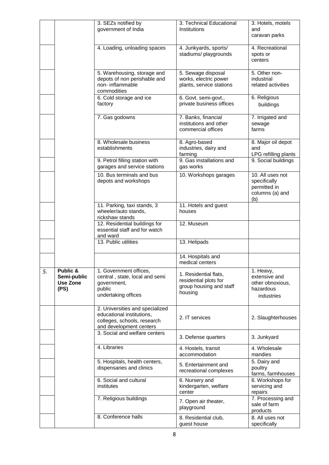|    |                                             | 3. SEZs notified by<br>government of India                                                                             | 3. Technical Educational<br>Institutions                                             | 3. Hotels, motels<br>and<br>caravan parks                                  |
|----|---------------------------------------------|------------------------------------------------------------------------------------------------------------------------|--------------------------------------------------------------------------------------|----------------------------------------------------------------------------|
|    |                                             | 4. Loading, unloading spaces                                                                                           | 4. Junkyards, sports/<br>stadiums/ playgrounds                                       | 4. Recreational<br>spots or<br>centers                                     |
|    |                                             | 5. Warehousing, storage and<br>depots of non perishable and<br>non-inflammable<br>commodities                          | 5. Sewage disposal<br>works, electric power<br>plants, service stations              | 5. Other non-<br>industrial<br>related activities                          |
|    |                                             | 6. Cold storage and ice<br>factory                                                                                     | 6. Govt. semi-govt.,<br>private business offices                                     | 6. Religious<br>buildings                                                  |
|    |                                             | 7. Gas godowns                                                                                                         | 7. Banks, financial<br>institutions and other<br>commercial offices                  | 7. Irrigated and<br>sewage<br>farms                                        |
|    |                                             | 8. Wholesale business<br>establishments                                                                                | 8. Agro-based<br>industries, dairy and<br>farming                                    | 8. Major oil depot<br>and<br>LPG refilling plants                          |
|    |                                             | 9. Petrol filling station with<br>garages and service stations                                                         | 9. Gas installations and<br>gas works                                                | 9. Social buildings                                                        |
|    |                                             | 10. Bus terminals and bus<br>depots and workshops                                                                      | 10. Workshops garages                                                                | 10. All uses not<br>specifically<br>permitted in<br>columns (a) and<br>(b) |
|    |                                             | 11. Parking, taxi stands, 3<br>wheeler/auto stands,<br>rickshaw stands                                                 | 11. Hotels and guest<br>houses                                                       |                                                                            |
|    |                                             | 12. Residential buildings for<br>essential staff and for watch<br>and ward                                             | 12. Museum                                                                           |                                                                            |
|    |                                             | 13. Public utilities                                                                                                   | 13. Helipads                                                                         |                                                                            |
|    |                                             |                                                                                                                        | 14. Hospitals and<br>medical centers                                                 |                                                                            |
| 5. | Public &<br>Semi-public<br>Use Zone<br>(PS) | 1. Government offices,<br>central, state, local and semi<br>government,<br>public<br>undertaking offices               | 1. Residential flats,<br>residential plots for<br>group housing and staff<br>housing | 1. Heavy,<br>extensive and<br>other obnoxious,<br>hazardous<br>industries  |
|    |                                             | 2. Universities and specialized<br>educational institutions,<br>colleges, schools, research<br>and development centers | 2. IT services                                                                       | 2. Slaughterhouses                                                         |
|    |                                             | 3. Social and welfare centers                                                                                          | 3. Defense quarters                                                                  | 3. Junkyard                                                                |
|    |                                             | 4. Libraries                                                                                                           | 4. Hostels, transit<br>accommodation                                                 | 4. Wholesale<br>mandies                                                    |
|    |                                             | 5. Hospitals, health centers,<br>dispensaries and clinics                                                              | 5. Entertainment and<br>recreational complexes                                       | 5. Dairy and<br>poultry<br>farms, farmhouses                               |
|    |                                             | 6. Social and cultural<br>institutes                                                                                   | 6. Nursery and<br>kindergarten, welfare<br>center                                    | 6. Workshops for<br>servicing and<br>repairs                               |
|    |                                             | 7. Religious buildings                                                                                                 | 7. Open air theater,<br>playground                                                   | 7. Processing and<br>sale of farm<br>products                              |
|    |                                             | 8. Conference halls                                                                                                    | 8. Residential club,<br>guest house                                                  | 8. All uses not<br>specifically                                            |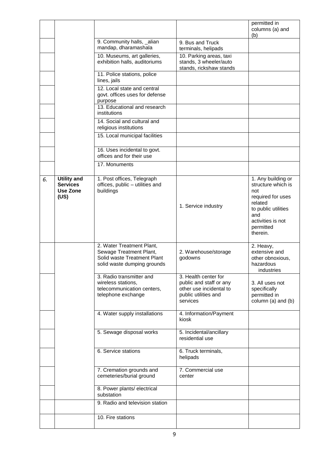|    |                                                                  |                                                                                                                    |                                                                                                                | permitted in<br>columns (a) and<br>(b)                                                                                                                      |
|----|------------------------------------------------------------------|--------------------------------------------------------------------------------------------------------------------|----------------------------------------------------------------------------------------------------------------|-------------------------------------------------------------------------------------------------------------------------------------------------------------|
|    |                                                                  | 9. Community halls, _alian<br>mandap, dharamashala                                                                 | 9. Bus and Truck<br>terminals, helipads                                                                        |                                                                                                                                                             |
|    |                                                                  | 10. Museums, art galleries,<br>exhibition halls, auditoriums                                                       | 10. Parking areas, taxi<br>stands, 3 wheeler/auto<br>stands, rickshaw stands                                   |                                                                                                                                                             |
|    |                                                                  | 11. Police stations, police<br>lines, jails                                                                        |                                                                                                                |                                                                                                                                                             |
|    |                                                                  | 12. Local state and central<br>govt. offices uses for defense<br>purpose                                           |                                                                                                                |                                                                                                                                                             |
|    |                                                                  | 13. Educational and research<br>institutions                                                                       |                                                                                                                |                                                                                                                                                             |
|    |                                                                  | 14. Social and cultural and<br>religious institutions                                                              |                                                                                                                |                                                                                                                                                             |
|    |                                                                  | 15. Local municipal facilities                                                                                     |                                                                                                                |                                                                                                                                                             |
|    |                                                                  | 16. Uses incidental to govt.<br>offices and for their use                                                          |                                                                                                                |                                                                                                                                                             |
|    |                                                                  | $\overline{17}$ . Monuments                                                                                        |                                                                                                                |                                                                                                                                                             |
| 6. | <b>Utility and</b><br><b>Services</b><br><b>Use Zone</b><br>(US) | 1. Post offices, Telegraph<br>offices, public - utilities and<br>buildings                                         | 1. Service industry                                                                                            | 1. Any building or<br>structure which is<br>not<br>required for uses<br>related<br>to public utilities<br>and<br>activities is not<br>permitted<br>therein. |
|    |                                                                  | 2. Water Treatment Plant,<br>Sewage Treatment Plant,<br>Solid waste Treatment Plant<br>solid waste dumping grounds | 2. Warehouse/storage<br>godowns                                                                                | 2. Heavy,<br>extensive and<br>other obnoxious,<br>hazardous<br>industries                                                                                   |
|    |                                                                  | 3. Radio transmitter and<br>wireless stations,<br>telecommunication centers,<br>telephone exchange                 | 3. Health center for<br>public and staff or any<br>other use incidental to<br>public utilities and<br>services | 3. All uses not<br>specifically<br>permitted in<br>column (a) and (b)                                                                                       |
|    |                                                                  | 4. Water supply installations                                                                                      | 4. Information/Payment<br>kiosk                                                                                |                                                                                                                                                             |
|    |                                                                  | 5. Sewage disposal works                                                                                           | 5. Incidental/ancillary<br>residential use                                                                     |                                                                                                                                                             |
|    |                                                                  | 6. Service stations                                                                                                | 6. Truck terminals,<br>helipads                                                                                |                                                                                                                                                             |
|    |                                                                  | 7. Cremation grounds and<br>cemeteries/burial ground                                                               | 7. Commercial use<br>center                                                                                    |                                                                                                                                                             |
|    |                                                                  | 8. Power plants/ electrical<br>substation                                                                          |                                                                                                                |                                                                                                                                                             |
|    |                                                                  | 9. Radio and television station                                                                                    |                                                                                                                |                                                                                                                                                             |
|    |                                                                  | 10. Fire stations                                                                                                  |                                                                                                                |                                                                                                                                                             |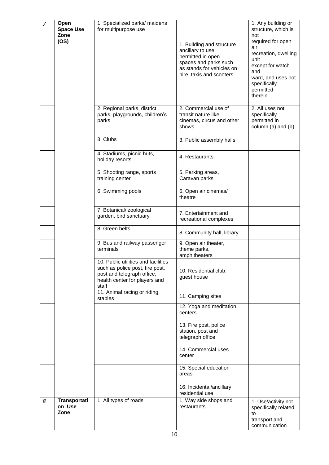| $\overline{7}$ | Open<br><b>Space Use</b><br>Zone<br>(OS) | 1. Specialized parks/ maidens<br>for multipurpose use                                                                                          | 1. Building and structure<br>ancillary to use<br>permitted in open<br>spaces and parks such<br>as stands for vehicles on<br>hire, taxis and scooters | 1. Any building or<br>structure, which is<br>not<br>required for open<br>air<br>recreation, dwelling<br>unit<br>except for watch<br>and<br>ward, and uses not<br>specifically<br>permitted<br>therein. |
|----------------|------------------------------------------|------------------------------------------------------------------------------------------------------------------------------------------------|------------------------------------------------------------------------------------------------------------------------------------------------------|--------------------------------------------------------------------------------------------------------------------------------------------------------------------------------------------------------|
|                |                                          | 2. Regional parks, district<br>parks, playgrounds, children's<br>parks                                                                         | 2. Commercial use of<br>transit nature like<br>cinemas, circus and other<br>shows                                                                    | 2. All uses not<br>specifically<br>permitted in<br>column (a) and (b)                                                                                                                                  |
|                |                                          | 3. Clubs                                                                                                                                       | 3. Public assembly halls                                                                                                                             |                                                                                                                                                                                                        |
|                |                                          | 4. Stadiums, picnic huts,<br>holiday resorts                                                                                                   | 4. Restaurants                                                                                                                                       |                                                                                                                                                                                                        |
|                |                                          | 5. Shooting range, sports<br>training center                                                                                                   | 5. Parking areas,<br>Caravan parks                                                                                                                   |                                                                                                                                                                                                        |
|                |                                          | 6. Swimming pools                                                                                                                              | 6. Open air cinemas/<br>theatre                                                                                                                      |                                                                                                                                                                                                        |
|                |                                          | 7. Botanical/ zoological<br>garden, bird sanctuary                                                                                             | 7. Entertainment and<br>recreational complexes                                                                                                       |                                                                                                                                                                                                        |
|                |                                          | 8. Green belts                                                                                                                                 | 8. Community hall, library                                                                                                                           |                                                                                                                                                                                                        |
|                |                                          | 9. Bus and railway passenger<br>terminals                                                                                                      | 9. Open air theater,<br>theme parks,<br>amphitheaters                                                                                                |                                                                                                                                                                                                        |
|                |                                          | 10. Public utilities and facilities<br>such as police post, fire post,<br>post and telegraph office,<br>health center for players and<br>staff | 10. Residential club,<br>guest house                                                                                                                 |                                                                                                                                                                                                        |
|                |                                          | 11. Animal racing or riding<br>stables                                                                                                         | 11. Camping sites                                                                                                                                    |                                                                                                                                                                                                        |
|                |                                          |                                                                                                                                                | 12. Yoga and meditation<br>centers                                                                                                                   |                                                                                                                                                                                                        |
|                |                                          |                                                                                                                                                | 13. Fire post, police<br>station, post and<br>telegraph office                                                                                       |                                                                                                                                                                                                        |
|                |                                          |                                                                                                                                                | 14. Commercial uses<br>center                                                                                                                        |                                                                                                                                                                                                        |
|                |                                          |                                                                                                                                                | 15. Special education<br>areas                                                                                                                       |                                                                                                                                                                                                        |
|                |                                          |                                                                                                                                                | 16. Incidental/ancillary<br>residential use                                                                                                          |                                                                                                                                                                                                        |
| 8              | Transportati<br>on Use<br>Zone           | 1. All types of roads                                                                                                                          | 1. Way side shops and<br>restaurants                                                                                                                 | 1. Use/activity not<br>specifically related<br>to<br>transport and<br>communication                                                                                                                    |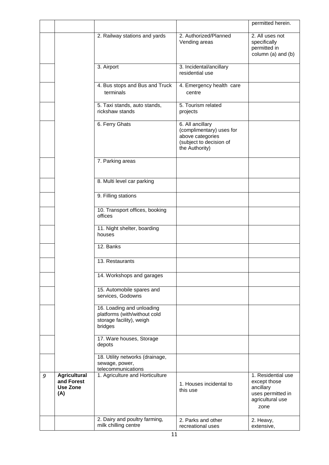|   |                                                      |                                                                                                  |                                                                                                               | permitted herein.                                                                                |
|---|------------------------------------------------------|--------------------------------------------------------------------------------------------------|---------------------------------------------------------------------------------------------------------------|--------------------------------------------------------------------------------------------------|
|   |                                                      | 2. Railway stations and yards                                                                    | 2. Authorized/Planned<br>Vending areas                                                                        | 2. All uses not<br>specifically<br>permitted in<br>column (a) and (b)                            |
|   |                                                      | 3. Airport                                                                                       | 3. Incidental/ancillary<br>residential use                                                                    |                                                                                                  |
|   |                                                      | 4. Bus stops and Bus and Truck<br>terminals                                                      | 4. Emergency health care<br>centre                                                                            |                                                                                                  |
|   |                                                      | 5. Taxi stands, auto stands,<br>rickshaw stands                                                  | 5. Tourism related<br>projects                                                                                |                                                                                                  |
|   |                                                      | 6. Ferry Ghats                                                                                   | 6. All ancillary<br>(complimentary) uses for<br>above categories<br>(subject to decision of<br>the Authority) |                                                                                                  |
|   |                                                      | 7. Parking areas                                                                                 |                                                                                                               |                                                                                                  |
|   |                                                      | 8. Multi level car parking                                                                       |                                                                                                               |                                                                                                  |
|   |                                                      | 9. Filling stations                                                                              |                                                                                                               |                                                                                                  |
|   |                                                      | 10. Transport offices, booking<br>offices                                                        |                                                                                                               |                                                                                                  |
|   |                                                      | 11. Night shelter, boarding<br>houses                                                            |                                                                                                               |                                                                                                  |
|   |                                                      | 12. Banks                                                                                        |                                                                                                               |                                                                                                  |
|   |                                                      | 13. Restaurants                                                                                  |                                                                                                               |                                                                                                  |
|   |                                                      | 14. Workshops and garages                                                                        |                                                                                                               |                                                                                                  |
|   |                                                      | 15. Automobile spares and<br>services, Godowns                                                   |                                                                                                               |                                                                                                  |
|   |                                                      | 16. Loading and unloading<br>platforms (with/without cold<br>storage facility), weigh<br>bridges |                                                                                                               |                                                                                                  |
|   |                                                      | 17. Ware houses, Storage<br>depots                                                               |                                                                                                               |                                                                                                  |
|   |                                                      | 18. Utility networks (drainage,<br>sewage, power,<br>telecommunications                          |                                                                                                               |                                                                                                  |
| 9 | <b>Agricultural</b><br>and Forest<br>Use Zone<br>(A) | 1. Agriculture and Horticulture                                                                  | 1. Houses incidental to<br>this use                                                                           | 1. Residential use<br>except those<br>ancillary<br>uses permitted in<br>agricultural use<br>zone |
|   |                                                      | 2. Dairy and poultry farming,<br>milk chilling centre                                            | 2. Parks and other<br>recreational uses                                                                       | 2. Heavy,<br>extensive,                                                                          |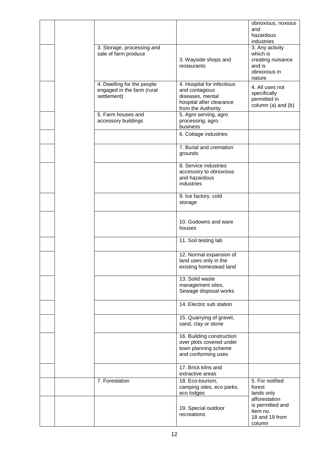|  |                                                                         |                                                                                                                    | obnoxious, noxious<br>and<br>hazardous<br>industries                                 |
|--|-------------------------------------------------------------------------|--------------------------------------------------------------------------------------------------------------------|--------------------------------------------------------------------------------------|
|  | 3. Storage, processing and<br>sale of farm produce                      | 3. Wayside shops and<br>restaurants                                                                                | 3. Any activity<br>which is<br>creating nuisance<br>and is<br>obnoxious in<br>nature |
|  | 4. Dwelling for the people<br>engaged in the farm (rural<br>settlement) | 4. Hospital for infectious<br>and contagious<br>diseases, mental<br>hospital after clearance<br>from the Authority | 4. All uses not<br>specifically<br>permitted in<br>column (a) and (b)                |
|  | 5. Farm houses and<br>accessory buildings                               | 5. Agro serving, agro<br>processing, agro<br>business                                                              |                                                                                      |
|  |                                                                         | 6. Cottage industries                                                                                              |                                                                                      |
|  |                                                                         | 7. Burial and cremation<br>grounds                                                                                 |                                                                                      |
|  |                                                                         | 8. Service industries<br>accessory to obnoxious<br>and hazardous<br>industries                                     |                                                                                      |
|  |                                                                         | 9. Ice factory, cold<br>storage                                                                                    |                                                                                      |
|  |                                                                         | 10. Godowns and ware<br>houses                                                                                     |                                                                                      |
|  |                                                                         | 11. Soil testing lab                                                                                               |                                                                                      |
|  |                                                                         | 12. Normal expansion of<br>land uses only in the<br>existing homestead land                                        |                                                                                      |
|  |                                                                         | 13. Solid waste<br>management sites,<br>Sewage disposal works                                                      |                                                                                      |
|  |                                                                         | 14. Electric sub station                                                                                           |                                                                                      |
|  |                                                                         | 15. Quarrying of gravel,<br>sand, clay or stone                                                                    |                                                                                      |
|  |                                                                         | 16. Building construction<br>over plots covered under<br>town planning scheme<br>and conforming uses               |                                                                                      |
|  |                                                                         | 17. Brick kilns and<br>extractive areas                                                                            |                                                                                      |
|  | 7. Forestation                                                          | 18. Eco-tourism,<br>camping sites, eco parks,<br>eco lodges                                                        | 5. For notified<br>forest<br>lands only                                              |
|  |                                                                         | 19. Special outdoor<br>recreations                                                                                 | afforestation<br>is permitted and<br>Item no.<br>18 and 19 from<br>column            |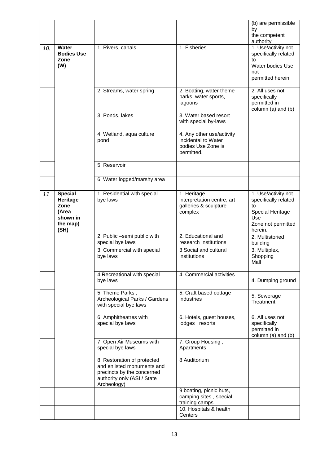|     |                                                                             |                                                                                                                                       |                                                                                               | (b) are permissible<br>by<br>the competent<br>authority                                                       |
|-----|-----------------------------------------------------------------------------|---------------------------------------------------------------------------------------------------------------------------------------|-----------------------------------------------------------------------------------------------|---------------------------------------------------------------------------------------------------------------|
| 10. | Water<br><b>Bodies Use</b><br>Zone<br>(W)                                   | 1. Rivers, canals                                                                                                                     | 1. Fisheries                                                                                  | 1. Use/activity not<br>specifically related<br>to<br>Water bodies Use<br>not<br>permitted herein.             |
|     |                                                                             | 2. Streams, water spring                                                                                                              | 2. Boating, water theme<br>parks, water sports,<br>lagoons                                    | 2. All uses not<br>specifically<br>permitted in<br>column (a) and (b)                                         |
|     |                                                                             | 3. Ponds, lakes                                                                                                                       | 3. Water based resort<br>with special by-laws                                                 |                                                                                                               |
|     |                                                                             | 4. Wetland, aqua culture<br>pond                                                                                                      | 4. Any other use/activity<br>incidental to Water<br>bodies Use Zone is<br>permitted.          |                                                                                                               |
|     |                                                                             | 5. Reservoir                                                                                                                          |                                                                                               |                                                                                                               |
|     |                                                                             | 6. Water logged/marshy area                                                                                                           |                                                                                               |                                                                                                               |
| 11  | <b>Special</b><br>Heritage<br>Zone<br>(Area<br>shown in<br>the map)<br>(SH) | 1. Residential with special<br>bye laws                                                                                               | 1. Heritage<br>interpretation centre, art<br>galleries & sculpture<br>complex                 | 1. Use/activity not<br>specifically related<br>to<br>Special Heritage<br>Use<br>Zone not permitted<br>herein. |
|     |                                                                             | 2. Public -semi public with<br>special bye laws                                                                                       | 2. Educational and<br>research Institutions                                                   | 2. Multistoried<br>building                                                                                   |
|     |                                                                             | 3. Commercial with special<br>bye laws                                                                                                | 3 Social and cultural<br>institutions                                                         | 3. Multiplex,<br>Shopping<br>Mall                                                                             |
|     |                                                                             | 4 Recreational with special<br>bye laws                                                                                               | 4. Commercial activities                                                                      | 4. Dumping ground                                                                                             |
|     |                                                                             | 5. Theme Parks,<br>Archeological Parks / Gardens<br>with special bye laws                                                             | 5. Craft based cottage<br>industries                                                          | 5. Sewerage<br>Treatment                                                                                      |
|     |                                                                             | 6. Amphitheatres with<br>special bye laws                                                                                             | 6. Hotels, guest houses,<br>lodges, resorts                                                   | 6. All uses not<br>specifically<br>permitted in<br>column (a) and (b)                                         |
|     |                                                                             | 7. Open Air Museums with<br>special bye laws                                                                                          | 7. Group Housing,<br>Apartments                                                               |                                                                                                               |
|     |                                                                             | 8. Restoration of protected<br>and enlisted monuments and<br>precincts by the concerned<br>authority only (ASI / State<br>Archeology) | 8 Auditorium                                                                                  |                                                                                                               |
|     |                                                                             |                                                                                                                                       | 9 boating, picnic huts,<br>camping sites, special<br>training camps<br>10. Hospitals & health |                                                                                                               |
|     |                                                                             |                                                                                                                                       | Centers                                                                                       |                                                                                                               |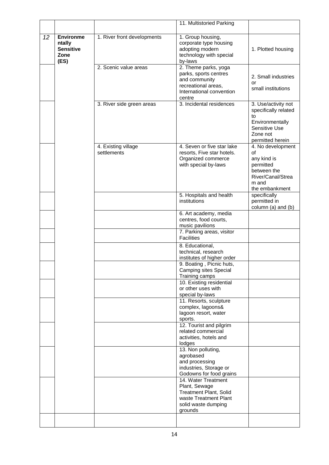|    |                                                                |                                    | 11. Multistoried Parking                                                                                                         |                                                                                                                       |
|----|----------------------------------------------------------------|------------------------------------|----------------------------------------------------------------------------------------------------------------------------------|-----------------------------------------------------------------------------------------------------------------------|
| 12 | <b>Environme</b><br>ntally<br><b>Sensitive</b><br>Zone<br>(ES) | 1. River front developments        | 1. Group housing,<br>corporate type housing<br>adopting modern<br>technology with special<br>by-laws                             | 1. Plotted housing                                                                                                    |
|    |                                                                | 2. Scenic value areas              | 2. Theme parks, yoga<br>parks, sports centres<br>and community<br>recreational areas,<br>International convention<br>centre      | 2. Small industries<br>or<br>small institutions                                                                       |
|    |                                                                | 3. River side green areas          | 3. Incidental residences                                                                                                         | 3. Use/activity not<br>specifically related<br>to<br>Environmentally<br>Sensitive Use<br>Zone not<br>permitted herein |
|    |                                                                | 4. Existing village<br>settlements | 4. Seven or five star lake<br>resorts, Five star hotels.<br>Organized commerce<br>with special by-laws                           | 4. No development<br>of<br>any kind is<br>permitted<br>between the<br>River/Canal/Strea<br>m and<br>the embankment    |
|    |                                                                |                                    | 5. Hospitals and health<br>institutions                                                                                          | specifically<br>permitted in<br>column (a) and (b)                                                                    |
|    |                                                                |                                    | 6. Art academy, media<br>centres, food courts,<br>music pavilions                                                                |                                                                                                                       |
|    |                                                                |                                    | 7. Parking areas, visitor<br><b>Facilities</b>                                                                                   |                                                                                                                       |
|    |                                                                |                                    | 8. Educational,<br>technical, research<br>institutes of higher order                                                             |                                                                                                                       |
|    |                                                                |                                    | 9. Boating, Picnic huts,<br><b>Camping sites Special</b><br>Training camps                                                       |                                                                                                                       |
|    |                                                                |                                    | 10. Existing residential<br>or other uses with<br>special by-laws                                                                |                                                                                                                       |
|    |                                                                |                                    | 11. Resorts, sculpture<br>complex, lagoons&<br>lagoon resort, water<br>sports.                                                   |                                                                                                                       |
|    |                                                                |                                    | 12. Tourist and pilgrim<br>related commercial<br>activities, hotels and<br>lodges                                                |                                                                                                                       |
|    |                                                                |                                    | 13. Non polluting,<br>agrobased<br>and processing<br>industries, Storage or<br>Godowns for food grains                           |                                                                                                                       |
|    |                                                                |                                    | 14. Water Treatment<br>Plant, Sewage<br><b>Treatment Plant, Solid</b><br>waste Treatment Plant<br>solid waste dumping<br>grounds |                                                                                                                       |
|    |                                                                |                                    |                                                                                                                                  |                                                                                                                       |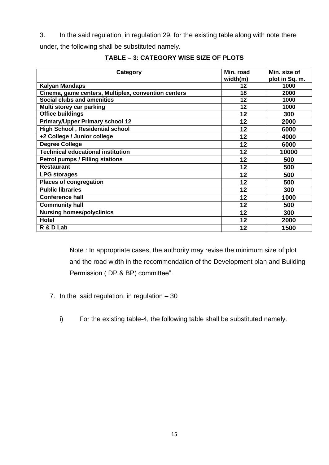3. In the said regulation, in regulation 29, for the existing table along with note there

under, the following shall be substituted namely.

| Category                                            | Min. road | Min. size of   |
|-----------------------------------------------------|-----------|----------------|
|                                                     | width(m)  | plot in Sq. m. |
| <b>Kalyan Mandaps</b>                               | 12        | 1000           |
| Cinema, game centers, Multiplex, convention centers | 18        | 2000           |
| Social clubs and amenities                          | 12        | 1000           |
| Multi storey car parking                            | 12        | 1000           |
| <b>Office buildings</b>                             | 12        | 300            |
| <b>Primary/Upper Primary school 12</b>              | 12        | 2000           |
| <b>High School, Residential school</b>              | 12        | 6000           |
| +2 College / Junior college                         | 12        | 4000           |
| <b>Degree College</b>                               | 12        | 6000           |
| <b>Technical educational institution</b>            | 12        | 10000          |
| <b>Petrol pumps / Filling stations</b>              | 12        | 500            |
| <b>Restaurant</b>                                   | 12        | 500            |
| <b>LPG storages</b>                                 | 12        | 500            |
| <b>Places of congregation</b>                       | 12        | 500            |
| <b>Public libraries</b>                             | 12        | 300            |
| <b>Conference hall</b>                              | 12        | 1000           |
| <b>Community hall</b>                               | 12        | 500            |
| <b>Nursing homes/polyclinics</b>                    | 12        | 300            |
| <b>Hotel</b>                                        | 12        | 2000           |
| R & D Lab                                           | 12        | 1500           |

## **TABLE – 3: CATEGORY WISE SIZE OF PLOTS**

Note : In appropriate cases, the authority may revise the minimum size of plot and the road width in the recommendation of the Development plan and Building Permission ( DP & BP) committee".

- 7. In the said regulation, in regulation  $-30$ 
	- i) For the existing table-4, the following table shall be substituted namely.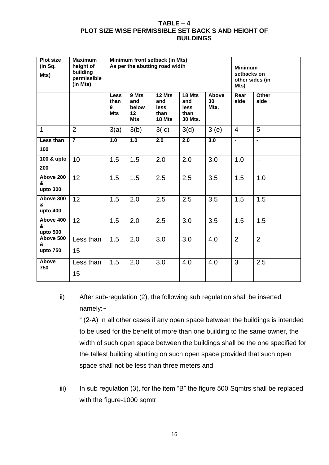#### **TABLE – 4 PLOT SIZE WISE PERMISSIBLE SET BACK S AND HEIGHT OF BUILDINGS**

| <b>Plot size</b><br>(in Sq.<br>Mts) | <b>Maximum</b><br>height of<br>building<br>permissible<br>(in Mts) | Minimum front setback (in Mts)<br>As per the abutting road width |                                                        |                                                |                                                 | <b>Minimum</b><br>setbacks on<br>other sides (in<br>Mts) |                |                      |
|-------------------------------------|--------------------------------------------------------------------|------------------------------------------------------------------|--------------------------------------------------------|------------------------------------------------|-------------------------------------------------|----------------------------------------------------------|----------------|----------------------|
|                                     |                                                                    | <b>Less</b><br>than<br>9<br><b>Mts</b>                           | 9 Mts<br>and<br>below<br>12 <sup>2</sup><br><b>Mts</b> | 12 Mts<br>and<br><b>less</b><br>than<br>18 Mts | 18 Mts<br>and<br><b>less</b><br>than<br>30 Mts. | Above<br>30<br>Mts.                                      | Rear<br>side   | <b>Other</b><br>side |
| $\mathbf{1}$                        | $\overline{2}$                                                     | 3(a)                                                             | 3(b)                                                   | 3(c)                                           | 3(d)                                            | 3(e)                                                     | $\overline{4}$ | 5                    |
| Less than<br>100                    | $\overline{7}$                                                     | 1.0                                                              | 1.0                                                    | $\overline{2.0}$                               | $\overline{2.0}$                                | 3.0                                                      | $\blacksquare$ | $\blacksquare$       |
| 100 & upto<br>200                   | 10                                                                 | 1.5                                                              | 1.5                                                    | 2.0                                            | 2.0                                             | 3.0                                                      | 1.0            | $\overline{a}$       |
| Above 200<br>&<br>upto 300          | 12                                                                 | 1.5                                                              | 1.5                                                    | 2.5                                            | 2.5                                             | 3.5                                                      | 1.5            | 1.0                  |
| Above 300<br>&<br>upto 400          | 12                                                                 | 1.5                                                              | 2.0                                                    | 2.5                                            | 2.5                                             | 3.5                                                      | 1.5            | 1.5                  |
| Above 400<br>&<br>upto 500          | 12                                                                 | 1.5                                                              | 2.0                                                    | 2.5                                            | 3.0                                             | 3.5                                                      | 1.5            | 1.5                  |
| Above 500<br>&<br>upto 750          | Less than<br>15                                                    | 1.5                                                              | 2.0                                                    | 3.0                                            | 3.0                                             | 4.0                                                      | $\overline{2}$ | $\overline{2}$       |
| Above<br>750                        | Less than<br>15                                                    | 1.5                                                              | 2.0                                                    | 3.0                                            | 4.0                                             | 4.0                                                      | 3              | 2.5                  |

# ii) After sub-regulation (2), the following sub regulation shall be inserted namely:~

" (2-A) In all other cases if any open space between the buildings is intended to be used for the benefit of more than one building to the same owner, the width of such open space between the buildings shall be the one specified for the tallest building abutting on such open space provided that such open space shall not be less than three meters and

iii) In sub regulation (3), for the item "B" the figure 500 Sqmtrs shall be replaced with the figure-1000 sqmtr.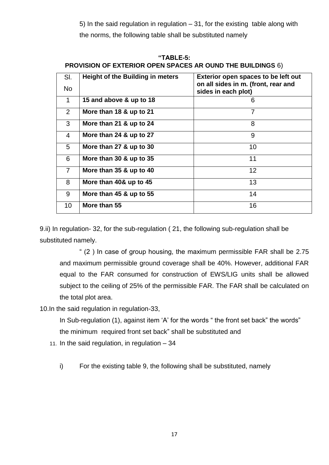5) In the said regulation in regulation – 31, for the existing table along with the norms, the following table shall be substituted namely

| "TABLE-5:                                                         |  |
|-------------------------------------------------------------------|--|
| <b>PROVISION OF EXTERIOR OPEN SPACES AR OUND THE BUILDINGS 6)</b> |  |

| SI.            | <b>Height of the Building in meters</b> | Exterior open spaces to be left out<br>on all sides in m. (front, rear and |
|----------------|-----------------------------------------|----------------------------------------------------------------------------|
| <b>No</b>      |                                         | sides in each plot)                                                        |
| 1              | 15 and above & up to 18                 | 6                                                                          |
| $\overline{2}$ | More than 18 & up to 21                 | $\overline{7}$                                                             |
| 3              | More than 21 & up to 24                 | 8                                                                          |
| 4              | More than 24 & up to 27                 | 9                                                                          |
| 5              | More than 27 & up to 30                 | 10                                                                         |
| 6              | More than 30 & up to 35                 | 11                                                                         |
| $\overline{7}$ | More than 35 & up to 40                 | 12                                                                         |
| 8              | More than 40& up to 45                  | 13                                                                         |
| 9              | More than 45 & up to 55                 | 14                                                                         |
| 10             | More than 55                            | 16                                                                         |

9.ii) In regulation- 32, for the sub-regulation ( 21, the following sub-regulation shall be substituted namely.

" (2 ) In case of group housing, the maximum permissible FAR shall be 2.75 and maximum permissible ground coverage shall be 40%. However, additional FAR equal to the FAR consumed for construction of EWS/LIG units shall be allowed subject to the ceiling of 25% of the permissible FAR. The FAR shall be calculated on the total plot area.

10.In the said regulation in regulation-33,

In Sub-regulation (1), against item 'A' for the words " the front set back" the words" the minimum required front set back" shall be substituted and

11. In the said regulation, in regulation – 34

i) For the existing table 9, the following shall be substituted, namely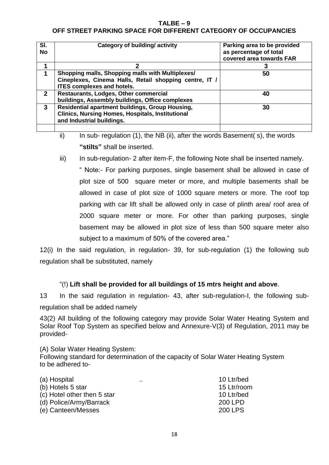## **TALBE – 9 OFF STREET PARKING SPACE FOR DIFFERENT CATEGORY OF OCCUPANCIES**

| covered area towards FAR                                                                                                                                |    |
|---------------------------------------------------------------------------------------------------------------------------------------------------------|----|
| 1                                                                                                                                                       |    |
| Shopping malls, Shopping malls with Multiplexes/<br>1<br>Cineplexes, Cinema Halls, Retail shopping centre, IT /<br><b>ITES complexes and hotels.</b>    | 50 |
| Restaurants, Lodges, Other commercial<br>$\mathbf{2}$<br>buildings, Assembly buildings, Office complexes                                                | 40 |
| Residential apartment buildings, Group Housing,<br>$\mathbf{3}$<br><b>Clinics, Nursing Homes, Hospitals, Institutional</b><br>and Industrial buildings. | 30 |

ii) In sub- regulation (1), the NB (ii), after the words Basement( s), the words **"stilts"** shall be inserted.

iii) In sub-regulation- 2 after item-F, the following Note shall be inserted namely.

" Note:- For parking purposes, single basement shall be allowed in case of plot size of 500 square meter or more, and multiple basements shall be allowed in case of plot size of 1000 square meters or more. The roof top parking with car lift shall be allowed only in case of plinth area/ roof area of 2000 square meter or more. For other than parking purposes, single basement may be allowed in plot size of less than 500 square meter also subject to a maximum of 50% of the covered area."

12(i) In the said regulation, in regulation- 39, for sub-regulation (1) the following sub regulation shall be substituted, namely

## "(!) **Lift shall be provided for all buildings of 15 mtrs height and above**.

13 In the said regulation in regulation- 43, after sub-regulation-I, the following subregulation shall be added namely

43(2) All building of the following category may provide Solar Water Heating System and Solar Roof Top System as specified below and Annexure-V(3) of Regulation, 2011 may be provided-

(A) Solar Water Heating System:

Following standard for determination of the capacity of Solar Water Heating System to be adhered to-

| (a) Hospital                | <br>10 Ltr/bed |
|-----------------------------|----------------|
| (b) Hotels 5 star           | 15 Ltr/room    |
| (c) Hotel other then 5 star | 10 Ltr/bed     |
| (d) Police/Army/Barrack     | 200 LPD        |
| (e) Canteen/Messes          | <b>200 LPS</b> |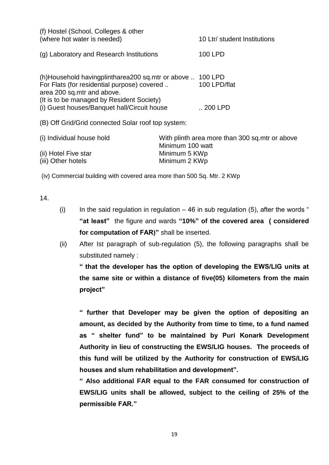| (f) Hostel (School, Colleges & other<br>(where hot water is needed)                                                                                                        | 10 Ltr/ student Institutions                                       |
|----------------------------------------------------------------------------------------------------------------------------------------------------------------------------|--------------------------------------------------------------------|
| (g) Laboratory and Research Institutions                                                                                                                                   | 100 LPD                                                            |
| (h)Household havingplintharea200 sq.mtr or above<br>For Flats (for residential purpose) covered<br>area 200 sq.mtr and above.<br>(It is to be managed by Resident Society) | 100 LPD<br>100 LPD/flat                                            |
| (i) Guest houses/Banquet hall/Circuit house                                                                                                                                | $.200$ LPD                                                         |
| (B) Off Grid/Grid connected Solar roof top system:                                                                                                                         |                                                                    |
| (i) Individual house hold                                                                                                                                                  | With plinth area more than 300 sq.mtr or above<br>Minimum 100 watt |

(iii) Other hotels Minimum 2 KWp

(ii) Hotel Five star Minimum 5 KWp

(iv) Commercial building with covered area more than 500 Sq. Mtr. 2 KWp

14.

- (i) In the said regulation in regulation  $-46$  in sub regulation (5), after the words " **"at least"** the figure and wards **"10%" of the covered area ( considered for computation of FAR)"** shall be inserted.
- (ii) After Ist paragraph of sub-regulation (5), the following paragraphs shall be substituted namely :

**" that the developer has the option of developing the EWS/LIG units at the same site or within a distance of five(05) kilometers from the main project"**

**" further that Developer may be given the option of depositing an amount, as decided by the Authority from time to time, to a fund named as " shelter fund" to be maintained by Puri Konark Development Authority in lieu of constructing the EWS/LIG houses. The proceeds of this fund will be utilized by the Authority for construction of EWS/LIG houses and slum rehabilitation and development".**

**" Also additional FAR equal to the FAR consumed for construction of EWS/LIG units shall be allowed, subject to the ceiling of 25% of the permissible FAR."**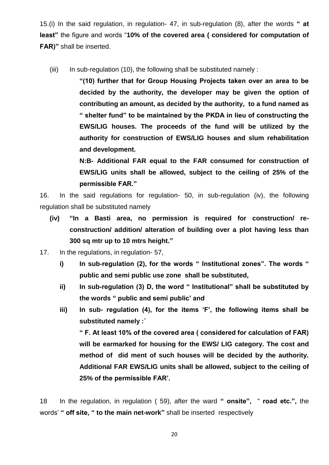15.(i) In the said regulation, in regulation- 47, in sub-regulation (8), after the words **" at least"** the figure and words "**10% of the covered area ( considered for computation of FAR)"** shall be inserted.

(iii) In sub-regulation (10), the following shall be substituted namely :

**"(10) further that for Group Housing Projects taken over an area to be decided by the authority, the developer may be given the option of contributing an amount, as decided by the authority, to a fund named as " shelter fund" to be maintained by the PKDA in lieu of constructing the EWS/LIG houses. The proceeds of the fund will be utilized by the authority for construction of EWS/LIG houses and slum rehabilitation and development.**

**N:B- Additional FAR equal to the FAR consumed for construction of EWS/LIG units shall be allowed, subject to the ceiling of 25% of the permissible FAR."**

16. In the said regulations for regulation- 50, in sub-regulation (iv), the following regulation shall be substituted namely

- **(iv) "In a Basti area, no permission is required for construction/ reconstruction/ addition/ alteration of building over a plot having less than 300 sq mtr up to 10 mtrs height."**
- 17. In the regulations, in regulation- 57,
	- **i) In sub-regulation (2), for the words " Institutional zones". The words " public and semi public use zone shall be substituted,**
	- **ii) In sub-regulation (3) D, the word " Institutional" shall be substituted by the words " public and semi public' and**
	- **iii) In sub- regulation (4), for the items 'F', the following items shall be substituted namely :` " F. At least 10% of the covered area ( considered for calculation of FAR)**

**will be earmarked for housing for the EWS/ LIG category. The cost and method of did ment of such houses will be decided by the authority. Additional FAR EWS/LIG units shall be allowed, subject to the ceiling of 25% of the permissible FAR'.**

18 In the regulation, in regulation ( 59), after the ward **" onsite",** " **road etc.",** the words' **" off site, " to the main net-work"** shall be inserted respectively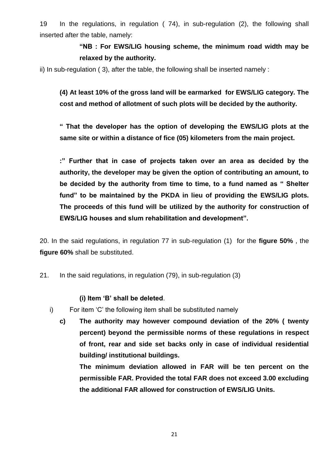19 In the regulations, in regulation ( 74), in sub-regulation (2), the following shall inserted after the table, namely:

# **"NB : For EWS/LIG housing scheme, the minimum road width may be relaxed by the authority.**

ii) In sub-regulation ( 3), after the table, the following shall be inserted namely :

**(4) At least 10% of the gross land will be earmarked for EWS/LIG category. The cost and method of allotment of such plots will be decided by the authority.**

**" That the developer has the option of developing the EWS/LIG plots at the same site or within a distance of fice (05) kilometers from the main project.**

**:" Further that in case of projects taken over an area as decided by the authority, the developer may be given the option of contributing an amount, to be decided by the authority from time to time, to a fund named as " Shelter fund" to be maintained by the PKDA in lieu of providing the EWS/LIG plots. The proceeds of this fund will be utilized by the authority for construction of EWS/LIG houses and slum rehabilitation and development".**

20. In the said regulations, in regulation 77 in sub-regulation (1) for the **figure 50%** , the **figure 60%** shall be substituted.

21. In the said regulations, in regulation (79), in sub-regulation (3)

#### **(i) Item 'B' shall be deleted**.

- i) For item 'C' the following item shall be substituted namely
	- **c) The authority may however compound deviation of the 20% ( twenty percent) beyond the permissible norms of these regulations in respect of front, rear and side set backs only in case of individual residential building/ institutional buildings.**

**The minimum deviation allowed in FAR will be ten percent on the permissible FAR. Provided the total FAR does not exceed 3.00 excluding the additional FAR allowed for construction of EWS/LIG Units.**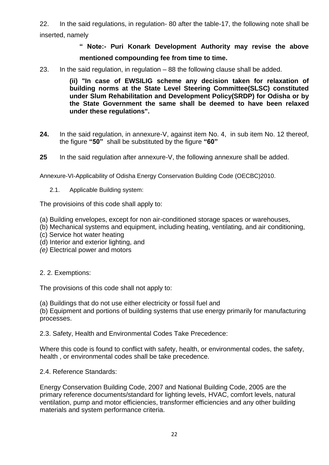22. In the said regulations, in regulation- 80 after the table-17, the following note shall be inserted, namely

# **" Note:- Puri Konark Development Authority may revise the above mentioned compounding fee from time to time.**

23. In the said regulation, in regulation – 88 the following clause shall be added.

**(ii) "In case of EWSILIG scheme any decision taken for relaxation of building norms at the State Level Steering Committee(SLSC) constituted under Slum Rehabilitation and Development Policy(SRDP) for Odisha or by the State Government the same shall be deemed to have been relaxed under these regulations".**

- **24.** In the said regulation, in annexure-V, against item No. 4, in sub item No. 12 thereof, the figure **"50"** shall be substituted by the figure **"60"**
- **25** In the said regulation after annexure-V, the following annexure shall be added.

Annexure-VI-Applicability of Odisha Energy Conservation Building Code (OECBC)2010.

2.1. Applicable Building system:

The provisioins of this code shall apply to:

- (a) Building envelopes, except for non air-conditioned storage spaces or warehouses,
- (b) Mechanical systems and equipment, including heating, ventilating, and air conditioning,
- (c) Service hot water heating
- (d) Interior and exterior lighting, and
- *(e)* Electrical power and motors
- 2. 2. Exemptions:

The provisions of this code shall not apply to:

(a) Buildings that do not use either electricity or fossil fuel and

(b) Equipment and portions of building systems that use energy primarily for manufacturing processes.

2.3. Safety, Health and Environmental Codes Take Precedence:

Where this code is found to conflict with safety, health, or environmental codes, the safety, health , or environmental codes shall be take precedence.

2.4. Reference Standards:

Energy Conservation Building Code, 2007 and National Building Code, 2005 are the primary reference documents/standard for lighting levels, HVAC, comfort levels, natural ventilation, pump and motor efficiencies, transformer efficiencies and any other building materials and system performance criteria.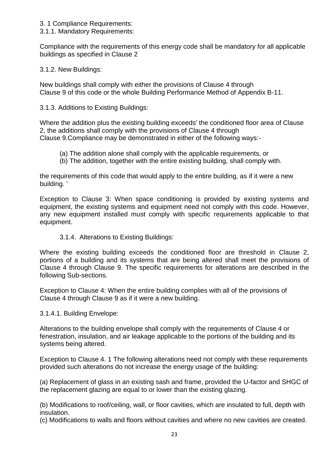- 3. 1 Compliance Requirements:
- 3.1.1. Mandatory Requirements:

Compliance with the requirements of this energy code shall be mandatory for all applicable buildings as specified in Clause 2

3.1.2. New Buildings:

New buildings shall comply with either the provisions of Clause 4 through Clause 9 of this code or the whole Building Performance Method of Appendix B-11.

3.1.3. Additions to Existing Buildings:

Where the addition plus the existing building exceeds' the conditioned floor area of Clause 2, the additions shall comply with the provisions of Clause 4 through Clause 9.Compliance may be demonstrated in either of the following ways:-

- (a) The addition alone shall comply with the applicable requirements, or
- (b) The addition, together with the entire existing building, shall comply with.

the requirements of this code that would apply to the entire building, as if it were a new building. '

Exception to Clause 3: When space conditioning is provided by existing systems and equipment, the existing systems and equipment need not comply with this code. However, any new equipment installed must comply with specific requirements applicable to that equipment.

3.1.4. Alterations to Existing Buildings:

Where the existing building exceeds the conditioned floor are threshold in Clause 2, portions of a building and its systems that are being altered shall meet the provisions of Clause 4 through Clause 9. The specific requirements for alterations are described in the following Sub-sections.

Exception to Clause 4: When the entire building complies with all of the provisions of Clause 4 through Clause 9 as if it were a new building.

3.1.4.1. Building Envelope:

Alterations to the building envelope shall comply with the requirements of Clause 4 or fenestration, insulation, and air leakage applicable to the portions of the building and its systems being altered.

Exception to Clause 4. 1 The following alterations need not comply with these requirements provided such alterations do not increase the energy usage of the building:

(a) Replacement of glass in an existing sash and frame, provided the U-factor and SHGC of the replacement glazing are equal to or lower than the existing glazing.

(b) Modifications to roof/ceiling, wall, or floor cavities, which are insulated to full, depth with insulation.

(c) Modifications to walls and floors without cavities and where no new cavities are created.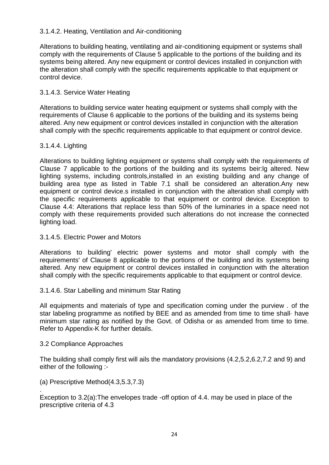## 3.1.4.2. Heating, Ventilation and Air-conditioning

Alterations to building heating, ventilating and air-conditioning equipment or systems shall comply with the requirements of Clause 5 applicable to the portions of the building and its systems being altered. Any new equipment or control devices installed in conjunction with the alteration shall comply with the specific requirements applicable to that equipment or control device.

## 3.1.4.3. Service Water Heating

Alterations to building service water heating equipment or systems shall comply with the requirements of Clause 6 applicable to the portions of the building and its systems being altered. Any new equipment or control devices installed in conjunction with the alteration shall comply with the specific requirements applicable to that equipment or control device.

#### 3.1.4.4. Lighting

Alterations to building lighting equipment or systems shall comply with the requirements of Clause 7 applicable to the portions of the building and its systems beir:lg altered. New lighting systems, including controls,installed in an existing building and any change of building area type as listed in Table 7.1 shall be considered an alteration.Any new equipment or control device.s installed in conjunction with the alteration shall comply with the specific requirements applicable to that equipment or control device. Exception to Clause 4.4: Alterations that replace less than 50% of the luminaries in a space need not comply with these requirements provided such alterations do not increase the connected lighting load.

#### 3.1.4.5. Electric Power and Motors

Alterations to building' electric power systems and motor shall comply with the requirements' of Clause 8 applicable to the portions of the building and its systems being altered. Any new equipment or control devices installed in conjunction with the alteration shall comply with the specific requirements applicable to that equipment or control device.

#### 3.1.4.6. Star Labelling and minimum Star Rating

All equipments and materials of type and specification coming under the purview . of the star labeling programme as notified by BEE and as amended from time to time shall· have minimum star rating as notified by the Govt. of Odisha or as amended from time to time. Refer to Appendix-K for further details.

#### 3.2 Compliance Approaches

.

The building shall comply first will ails the mandatory provisions (4.2,5.2,6.2,7.2 and 9) and either of the following :-

(a) Prescriptive Method(4.3,5.3,7.3)

Exception to 3.2(a):The envelopes trade -off option of 4.4. may be used in place of the prescriptive criteria of 4.3